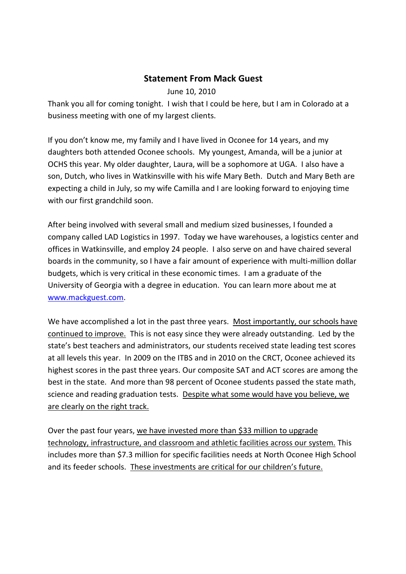## **Statement From Mack Guest**

## June 10, 2010

Thank you all for coming tonight. I wish that I could be here, but I am in Colorado at a business meeting with one of my largest clients.

If you don't know me, my family and I have lived in Oconee for 14 years, and my daughters both attended Oconee schools. My youngest, Amanda, will be a junior at OCHS this year. My older daughter, Laura, will be a sophomore at UGA. I also have a son, Dutch, who lives in Watkinsville with his wife Mary Beth. Dutch and Mary Beth are expecting a child in July, so my wife Camilla and I are looking forward to enjoying time with our first grandchild soon.

After being involved with several small and medium sized businesses, I founded a company called LAD Logistics in 1997. Today we have warehouses, a logistics center and offices in Watkinsville, and employ 24 people. I also serve on and have chaired several boards in the community, so I have a fair amount of experience with multi-million dollar budgets, which is very critical in these economic times. I am a graduate of the University of Georgia with a degree in education. You can learn more about me at www.mackguest.com.

We have accomplished a lot in the past three years. Most importantly, our schools have continued to improve. This is not easy since they were already outstanding. Led by the state's best teachers and administrators, our students received state leading test scores at all levels this year. In 2009 on the ITBS and in 2010 on the CRCT, Oconee achieved its highest scores in the past three years. Our composite SAT and ACT scores are among the best in the state. And more than 98 percent of Oconee students passed the state math, science and reading graduation tests. Despite what some would have you believe, we are clearly on the right track.

Over the past four years, we have invested more than \$33 million to upgrade technology, infrastructure, and classroom and athletic facilities across our system. This includes more than \$7.3 million for specific facilities needs at North Oconee High School and its feeder schools. These investments are critical for our children's future.